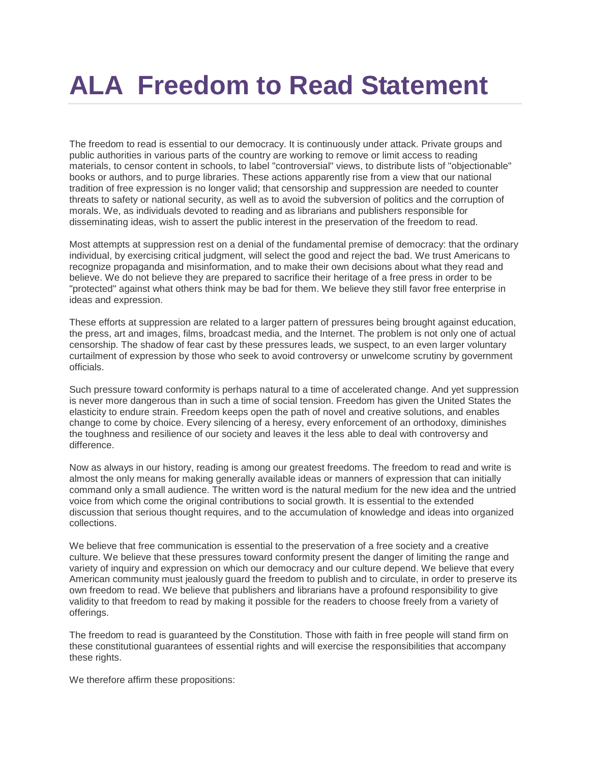## **ALA Freedom to Read Statement**

The freedom to read is essential to our democracy. It is continuously under attack. Private groups and public authorities in various parts of the country are working to remove or limit access to reading materials, to censor content in schools, to label "controversial" views, to distribute lists of "objectionable" books or authors, and to purge libraries. These actions apparently rise from a view that our national tradition of free expression is no longer valid; that censorship and suppression are needed to counter threats to safety or national security, as well as to avoid the subversion of politics and the corruption of morals. We, as individuals devoted to reading and as librarians and publishers responsible for disseminating ideas, wish to assert the public interest in the preservation of the freedom to read.

Most attempts at suppression rest on a denial of the fundamental premise of democracy: that the ordinary individual, by exercising critical judgment, will select the good and reject the bad. We trust Americans to recognize propaganda and misinformation, and to make their own decisions about what they read and believe. We do not believe they are prepared to sacrifice their heritage of a free press in order to be "protected" against what others think may be bad for them. We believe they still favor free enterprise in ideas and expression.

These efforts at suppression are related to a larger pattern of pressures being brought against education, the press, art and images, films, broadcast media, and the Internet. The problem is not only one of actual censorship. The shadow of fear cast by these pressures leads, we suspect, to an even larger voluntary curtailment of expression by those who seek to avoid controversy or unwelcome scrutiny by government officials.

Such pressure toward conformity is perhaps natural to a time of accelerated change. And yet suppression is never more dangerous than in such a time of social tension. Freedom has given the United States the elasticity to endure strain. Freedom keeps open the path of novel and creative solutions, and enables change to come by choice. Every silencing of a heresy, every enforcement of an orthodoxy, diminishes the toughness and resilience of our society and leaves it the less able to deal with controversy and difference.

Now as always in our history, reading is among our greatest freedoms. The freedom to read and write is almost the only means for making generally available ideas or manners of expression that can initially command only a small audience. The written word is the natural medium for the new idea and the untried voice from which come the original contributions to social growth. It is essential to the extended discussion that serious thought requires, and to the accumulation of knowledge and ideas into organized collections.

We believe that free communication is essential to the preservation of a free society and a creative culture. We believe that these pressures toward conformity present the danger of limiting the range and variety of inquiry and expression on which our democracy and our culture depend. We believe that every American community must jealously guard the freedom to publish and to circulate, in order to preserve its own freedom to read. We believe that publishers and librarians have a profound responsibility to give validity to that freedom to read by making it possible for the readers to choose freely from a variety of offerings.

The freedom to read is guaranteed by the Constitution. Those with faith in free people will stand firm on these constitutional guarantees of essential rights and will exercise the responsibilities that accompany these rights.

We therefore affirm these propositions: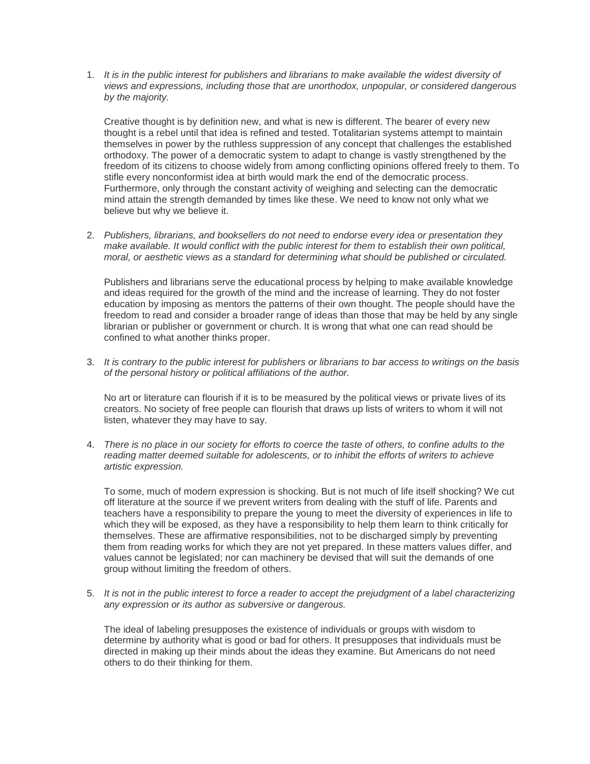1. *It is in the public interest for publishers and librarians to make available the widest diversity of views and expressions, including those that are unorthodox, unpopular, or considered dangerous by the majority.*

Creative thought is by definition new, and what is new is different. The bearer of every new thought is a rebel until that idea is refined and tested. Totalitarian systems attempt to maintain themselves in power by the ruthless suppression of any concept that challenges the established orthodoxy. The power of a democratic system to adapt to change is vastly strengthened by the freedom of its citizens to choose widely from among conflicting opinions offered freely to them. To stifle every nonconformist idea at birth would mark the end of the democratic process. Furthermore, only through the constant activity of weighing and selecting can the democratic mind attain the strength demanded by times like these. We need to know not only what we believe but why we believe it.

2. *Publishers, librarians, and booksellers do not need to endorse every idea or presentation they make available. It would conflict with the public interest for them to establish their own political, moral, or aesthetic views as a standard for determining what should be published or circulated.*

Publishers and librarians serve the educational process by helping to make available knowledge and ideas required for the growth of the mind and the increase of learning. They do not foster education by imposing as mentors the patterns of their own thought. The people should have the freedom to read and consider a broader range of ideas than those that may be held by any single librarian or publisher or government or church. It is wrong that what one can read should be confined to what another thinks proper.

3. *It is contrary to the public interest for publishers or librarians to bar access to writings on the basis of the personal history or political affiliations of the author.*

No art or literature can flourish if it is to be measured by the political views or private lives of its creators. No society of free people can flourish that draws up lists of writers to whom it will not listen, whatever they may have to say.

4. *There is no place in our society for efforts to coerce the taste of others, to confine adults to the reading matter deemed suitable for adolescents, or to inhibit the efforts of writers to achieve artistic expression.*

To some, much of modern expression is shocking. But is not much of life itself shocking? We cut off literature at the source if we prevent writers from dealing with the stuff of life. Parents and teachers have a responsibility to prepare the young to meet the diversity of experiences in life to which they will be exposed, as they have a responsibility to help them learn to think critically for themselves. These are affirmative responsibilities, not to be discharged simply by preventing them from reading works for which they are not yet prepared. In these matters values differ, and values cannot be legislated; nor can machinery be devised that will suit the demands of one group without limiting the freedom of others.

5. *It is not in the public interest to force a reader to accept the prejudgment of a label characterizing any expression or its author as subversive or dangerous.*

The ideal of labeling presupposes the existence of individuals or groups with wisdom to determine by authority what is good or bad for others. It presupposes that individuals must be directed in making up their minds about the ideas they examine. But Americans do not need others to do their thinking for them.